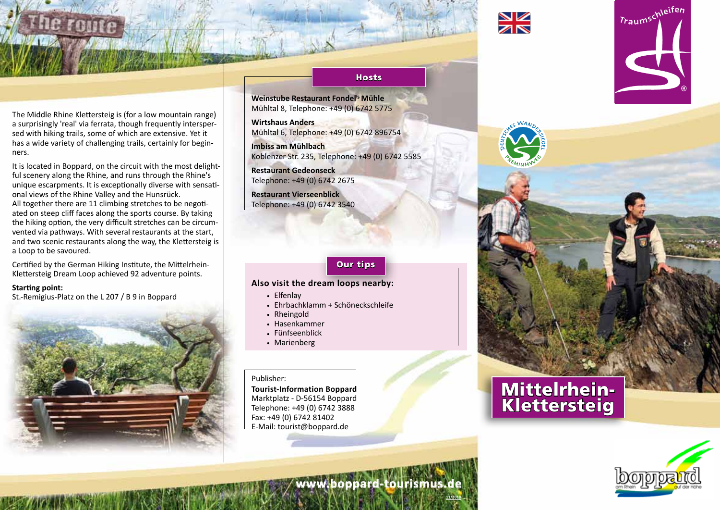

The Middle Rhine Klettersteig is (for a low mountain range) a surprisingly 'real' via ferrata, though frequently interspersed with hiking trails, some of which are extensive. Yet it has a wide variety of challenging trails, certainly for beginners.

It is located in Boppard, on the circuit with the most delightful scenery along the Rhine, and runs through the Rhine's unique escarpments. It is exceptionally diverse with sensational views of the Rhine Valley and the Hunsrück. All together there are 11 climbing stretches to be negotiated on steep cliff faces along the sports course. By taking the hiking option, the very difficult stretches can be circumvented via pathways. With several restaurants at the start, and two scenic restaurants along the way, the Klettersteig is a Loop to be savoured.

Certified by the German Hiking Institute, the Mittelrhein-Klettersteig Dream Loop achieved 92 adventure points.

**Starting point:**

St.-Remigius-Platz on the L 207 / B 9 in Boppard



## **Hosts**

**Weinstube Restaurant Fondel' <sup>s</sup> Mühle** Mühltal 8, Telephone: +49 (0) 6742 5775

**Wirtshaus Anders** Mühltal 6, Telephone: +49 (0) 6742 896754

**Imbiss am Mühlbach** Koblenzer Str. 235, Telephone: +49 (0) 6742 5585

**Restaurant Gedeonseck** Telephone: +49 (0) 6742 2675

**Restaurant Vierseenblick** Telephone: +49 (0) 6742 3540

## Our tips

## **Also visit the dream loops nearby:**

- . Elfenlay
- . Ehrbachklamm + Schöneckschleife
- . Rheingold
- . Hasenkammer
- . Fünfseenblick
- . Marienberg

Publisher:

**Tourist-Information Boppard** Marktplatz - D-56154 Boppard Telephone: +49 (0) 6742 3888 Fax: +49 (0) 6742 81402 E-Mail: tourist@boppard.de





Traumschleifen

**11/2018**